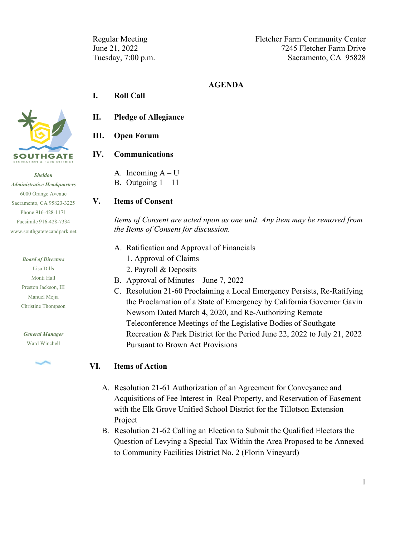Regular Meeting Fletcher Farm Community Center June 21, 2022 7245 Fletcher Farm Drive Tuesday, 7:00 p.m. Sacramento, CA 95828

#### **AGENDA**

#### **I. Roll Call**



*Sheldon Administrative Headquarters* 6000 Orange Avenue Sacramento, CA 95823-3225 Phone 916-428-1171 Facsimile 916-428-7334 [www.southgaterecandpark.net](http://www.southgaterecandpark.net/)

> *Board of Directors* Lisa Dills Monti Hall Preston Jackson, III Manuel Mejia Christine Thompson

*General Manager* Ward Winchell



- **II. Pledge of Allegiance**
- **III. Open Forum**

#### **IV. Communications**

A. Incoming  $A-U$ B. Outgoing  $1 - 11$ 

#### **V. Items of Consent**

*Items of Consent are acted upon as one unit. Any item may be removed from the Items of Consent for discussion.*

- A. Ratification and Approval of Financials
	- 1. Approval of Claims
	- 2. Payroll & Deposits
- B. Approval of Minutes June 7, 2022
- C. Resolution 21-60 Proclaiming a Local Emergency Persists, Re-Ratifying the Proclamation of a State of Emergency by California Governor Gavin Newsom Dated March 4, 2020, and Re-Authorizing Remote Teleconference Meetings of the Legislative Bodies of Southgate Recreation & Park District for the Period June 22, 2022 to July 21, 2022 Pursuant to Brown Act Provisions

#### **VI. Items of Action**

- A. Resolution 21-61 Authorization of an Agreement for Conveyance and Acquisitions of Fee Interest in Real Property, and Reservation of Easement with the Elk Grove Unified School District for the Tillotson Extension Project
- B. Resolution 21-62 Calling an Election to Submit the Qualified Electors the Question of Levying a Special Tax Within the Area Proposed to be Annexed to Community Facilities District No. 2 (Florin Vineyard)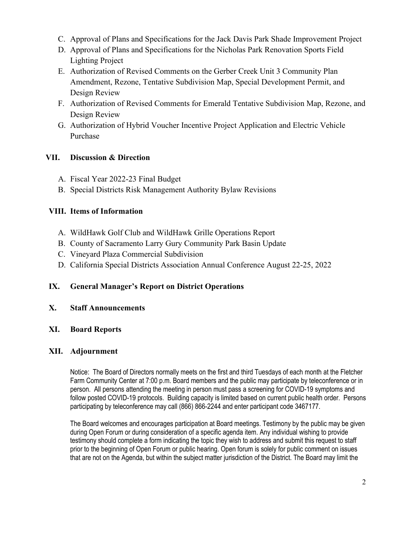- C. Approval of Plans and Specifications for the Jack Davis Park Shade Improvement Project
- D. Approval of Plans and Specifications for the Nicholas Park Renovation Sports Field Lighting Project
- E. Authorization of Revised Comments on the Gerber Creek Unit 3 Community Plan Amendment, Rezone, Tentative Subdivision Map, Special Development Permit, and Design Review
- F. Authorization of Revised Comments for Emerald Tentative Subdivision Map, Rezone, and Design Review
- G. Authorization of Hybrid Voucher Incentive Project Application and Electric Vehicle Purchase

## **VII. Discussion & Direction**

- A. Fiscal Year 2022-23 Final Budget
- B. Special Districts Risk Management Authority Bylaw Revisions

# **VIII. Items of Information**

- A. WildHawk Golf Club and WildHawk Grille Operations Report
- B. County of Sacramento Larry Gury Community Park Basin Update
- C. Vineyard Plaza Commercial Subdivision
- D. California Special Districts Association Annual Conference August 22-25, 2022

# **IX. General Manager's Report on District Operations**

## **X. Staff Announcements**

**XI. Board Reports**

## **XII. Adjournment**

Notice: The Board of Directors normally meets on the first and third Tuesdays of each month at the Fletcher Farm Community Center at 7:00 p.m. Board members and the public may participate by teleconference or in person. All persons attending the meeting in person must pass a screening for COVID-19 symptoms and follow posted COVID-19 protocols. Building capacity is limited based on current public health order. Persons participating by teleconference may call (866) 866-2244 and enter participant code 3467177.

The Board welcomes and encourages participation at Board meetings. Testimony by the public may be given during Open Forum or during consideration of a specific agenda item. Any individual wishing to provide testimony should complete a form indicating the topic they wish to address and submit this request to staff prior to the beginning of Open Forum or public hearing. Open forum is solely for public comment on issues that are not on the Agenda, but within the subject matter jurisdiction of the District. The Board may limit the